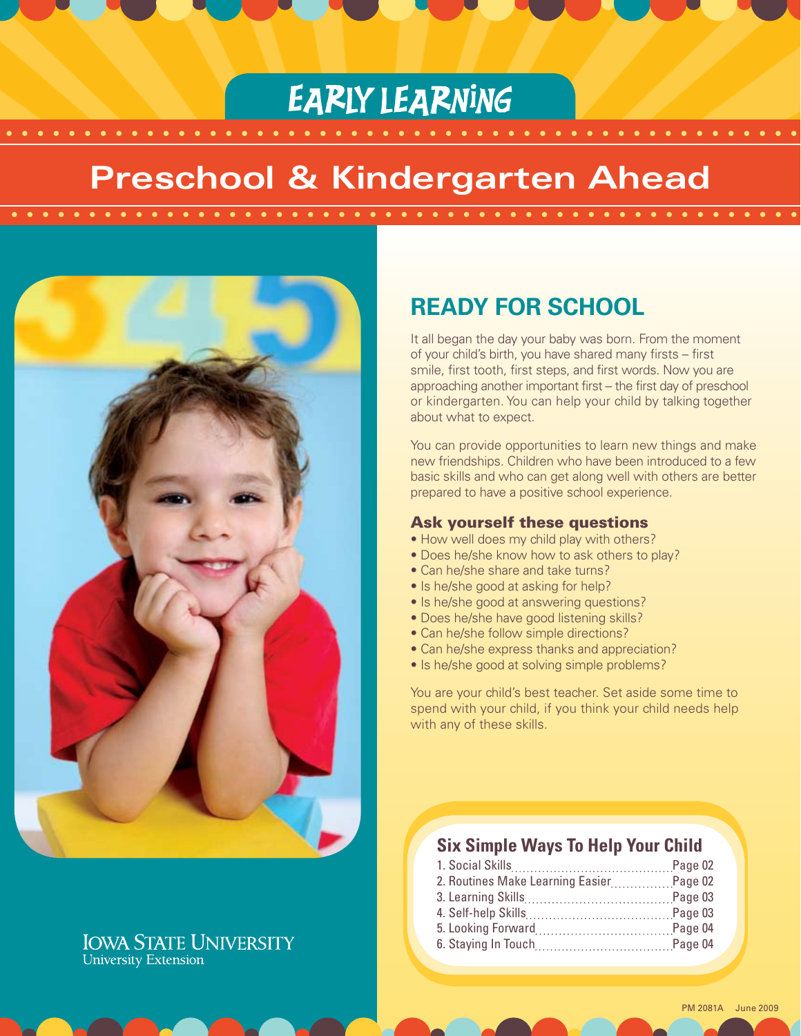# **EARLY LEARNING**

# **Preschool & Kindergarten Ahead**



# **IOWA STATE UNIVERSITY University Extension**

# **Ready For School**

It all began the day your baby was born. From the moment of your child's birth, you have shared many firsts – first smile, first tooth, first steps, and first words. Now you are approaching another important first – the first day of preschool or kindergarten. You can help your child by talking together about what to expect.

You can provide opportunities to learn new things and make new friendships. Children who have been introduced to a few basic skills and who can get along well with others are better prepared to have a positive school experience.

#### Ask yourself these questions

- How well does my child play with others?
- Does he/she know how to ask others to play?
- Can he/she share and take turns?
- Is he/she good at asking for help?
- Is he/she good at answering questions?
- Does he/she have good listening skills?
- Can he/she follow simple directions?
- Can he/she express thanks and appreciation?
- Is he/she good at solving simple problems?

You are your child's best teacher. Set aside some time to spend with your child, if you think your child needs help with any of these skills.

# **Six Simple Ways To Help Your Child**

| 2. Routines Make Learning EasierPage 02 |  |
|-----------------------------------------|--|
|                                         |  |
|                                         |  |
|                                         |  |
|                                         |  |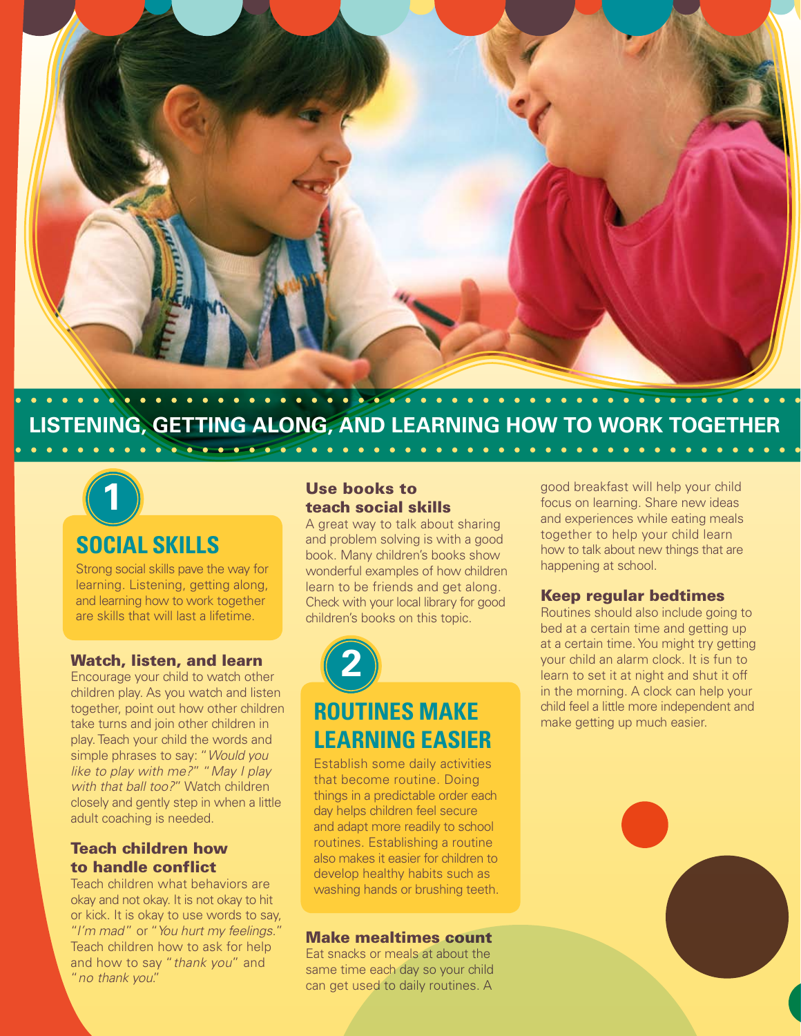

# **Listening, getting along, and learning how to work together**



# **Social Skills**

Strong social skills pave the way for learning. Listening, getting along, and learning how to work together are skills that will last a lifetime.

#### Watch, listen, and learn

Encourage your child to watch other children play. As you watch and listen together, point out how other children take turns and join other children in play. Teach your child the words and simple phrases to say: "*Would you like to play with me?*" "*May I play with that ball too?*" Watch children closely and gently step in when a little adult coaching is needed.

# Teach children how to handle conflict

Teach children what behaviors are okay and not okay. It is not okay to hit or kick. It is okay to use words to say, "*I'm mad*" or "*You hurt my feelings.*" Teach children how to ask for help and how to say "*thank you*" and "*no thank you*."

### Use books to teach social skills

A great way to talk about sharing and problem solving is with a good book. Many children's books show wonderful examples of how children learn to be friends and get along. Check with your local library for good children's books on this topic.



# **Routines Make Learning Easier**

Establish some daily activities that become routine. Doing things in a predictable order each day helps children feel secure and adapt more readily to school routines. Establishing a routine also makes it easier for children to develop healthy habits such as washing hands or brushing teeth.

### Make mealtimes count

Eat snacks or meals at about the same time each day so your child can get used to daily routines. A

good breakfast will help your child focus on learning. Share new ideas and experiences while eating meals together to help your child learn how to talk about new things that are happening at school.

 $\bullet$ 

#### Keep regular bedtimes

Routines should also include going to bed at a certain time and getting up at a certain time. You might try getting your child an alarm clock. It is fun to learn to set it at night and shut it off in the morning. A clock can help your child feel a little more independent and make getting up much easier.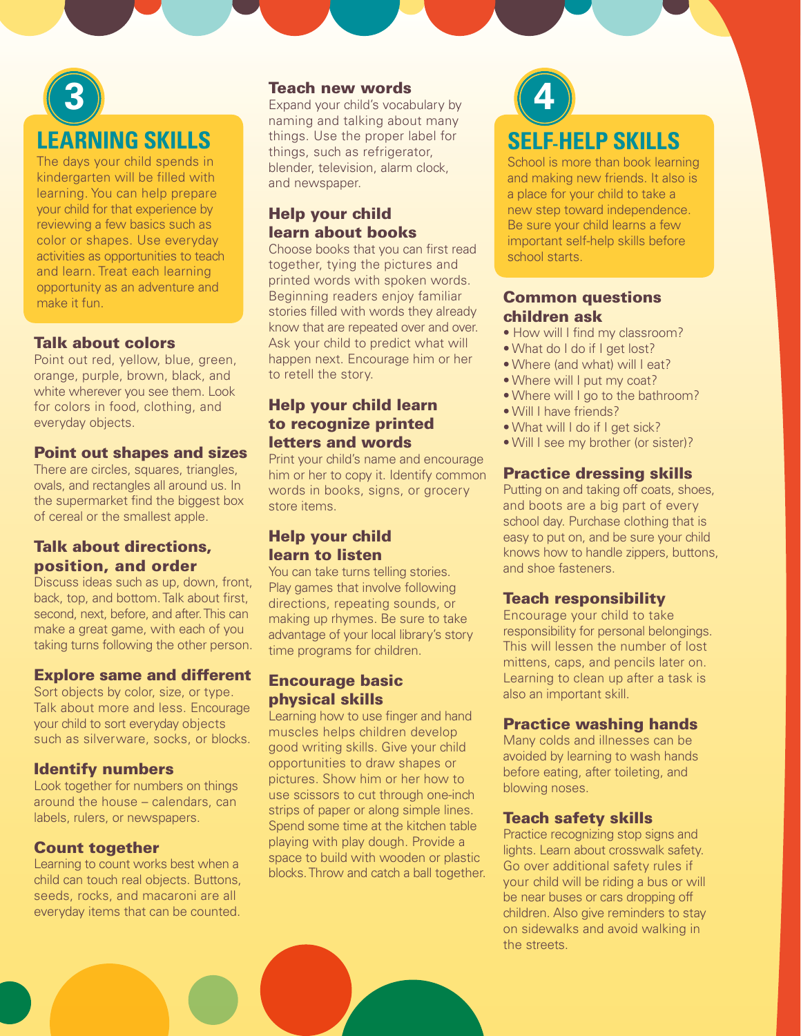# **Learning Skills 3**

The days your child spends in kindergarten will be filled with learning. You can help prepare your child for that experience by reviewing a few basics such as color or shapes. Use everyday activities as opportunities to teach and learn. Treat each learning opportunity as an adventure and make it fun.

### Talk about colors

Point out red, yellow, blue, green, orange, purple, brown, black, and white wherever you see them. Look for colors in food, clothing, and everyday objects.

#### Point out shapes and sizes

There are circles, squares, triangles, ovals, and rectangles all around us. In the supermarket find the biggest box of cereal or the smallest apple.

# Talk about directions, position, and order

Discuss ideas such as up, down, front, back, top, and bottom. Talk about first, second, next, before, and after. This can make a great game, with each of you taking turns following the other person.

# Explore same and different

Sort objects by color, size, or type. Talk about more and less. Encourage your child to sort everyday objects such as silverware, socks, or blocks.

# Identify numbers

Look together for numbers on things around the house – calendars, can labels, rulers, or newspapers.

# Count together

Learning to count works best when a child can touch real objects. Buttons, seeds, rocks, and macaroni are all everyday items that can be counted.

#### Teach new words

Expand your child's vocabulary by naming and talking about many things. Use the proper label for things, such as refrigerator, blender, television, alarm clock, and newspaper.

# Help your child learn about books

Choose books that you can first read together, tying the pictures and printed words with spoken words. Beginning readers enjoy familiar stories filled with words they already know that are repeated over and over. Ask your child to predict what will happen next. Encourage him or her to retell the story.

# Help your child learn to recognize printed letters and words

Print your child's name and encourage him or her to copy it. Identify common words in books, signs, or grocery store items.

# Help your child learn to listen

You can take turns telling stories. Play games that involve following directions, repeating sounds, or making up rhymes. Be sure to take advantage of your local library's story time programs for children.

# Encourage basic physical skills

Learning how to use finger and hand muscles helps children develop good writing skills. Give your child opportunities to draw shapes or pictures. Show him or her how to use scissors to cut through one-inch strips of paper or along simple lines. Spend some time at the kitchen table playing with play dough. Provide a space to build with wooden or plastic blocks. Throw and catch a ball together.



School is more than book learning and making new friends. It also is a place for your child to take a new step toward independence. Be sure your child learns a few important self-help skills before school starts.

## Common questions children ask

- How will I find my classroom?
- What do I do if I get lost?
- Where (and what) will I eat?
- Where will I put my coat?
- Where will I go to the bathroom?
- Will I have friends?
- What will I do if I get sick?
- Will I see my brother (or sister)?

# Practice dressing skills

Putting on and taking off coats, shoes, and boots are a big part of every school day. Purchase clothing that is easy to put on, and be sure your child knows how to handle zippers, buttons, and shoe fasteners.

# Teach responsibility

Encourage your child to take responsibility for personal belongings. This will lessen the number of lost mittens, caps, and pencils later on. Learning to clean up after a task is also an important skill.

# Practice washing hands

Many colds and illnesses can be avoided by learning to wash hands before eating, after toileting, and blowing noses.

# Teach safety skills

Practice recognizing stop signs and lights. Learn about crosswalk safety. Go over additional safety rules if your child will be riding a bus or will be near buses or cars dropping off children. Also give reminders to stay on sidewalks and avoid walking in the streets.